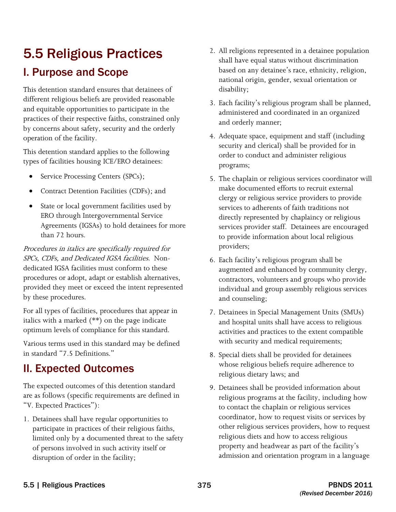# 5.5 Religious Practices

# I. Purpose and Scope

This detention standard ensures that detainees of different religious beliefs are provided reasonable and equitable opportunities to participate in the practices of their respective faiths, constrained only by concerns about safety, security and the orderly operation of the facility.

This detention standard applies to the following types of facilities housing ICE/ERO detainees:

- Service Processing Centers (SPCs);
- Contract Detention Facilities (CDFs); and
- State or local government facilities used by ERO through Intergovernmental Service Agreements (IGSAs) to hold detainees for more than 72 hours.

 SPCs, CDFs, and Dedicated IGSA facilities. Non-Procedures in italics are specifically required for dedicated IGSA facilities must conform to these procedures or adopt, adapt or establish alternatives, provided they meet or exceed the intent represented by these procedures.

For all types of facilities, procedures that appear in italics with a marked (\*\*) on the page indicate optimum levels of compliance for this standard.

Various terms used in this standard may be defined in standard "7.5 Definitions."

# II. Expected Outcomes

The expected outcomes of this detention standard are as follows (specific requirements are defined in "V. Expected Practices"):

1. Detainees shall have regular opportunities to participate in practices of their religious faiths, limited only by a documented threat to the safety of persons involved in such activity itself or disruption of order in the facility;

- 2. All religions represented in a detainee population shall have equal status without discrimination based on any detainee's race, ethnicity, religion, national origin, gender, sexual orientation or disability;
- 3. Each facility's religious program shall be planned, administered and coordinated in an organized and orderly manner;
- order to conduct and administer religious 4. Adequate space, equipment and staff (including security and clerical) shall be provided for in programs;
- 5. The chaplain or religious services coordinator will make documented efforts to recruit external clergy or religious service providers to provide services to adherents of faith traditions not directly represented by chaplaincy or religious services provider staff. Detainees are encouraged to provide information about local religious providers;
- 6. Each facility's religious program shall be augmented and enhanced by community clergy, contractors, volunteers and groups who provide individual and group assembly religious services and counseling;
- 7. Detainees in Special Management Units (SMUs) and hospital units shall have access to religious activities and practices to the extent compatible with security and medical requirements;
- 8. Special diets shall be provided for detainees whose religious beliefs require adherence to religious dietary laws; and
- 9. Detainees shall be provided information about religious programs at the facility, including how to contact the chaplain or religious services coordinator, how to request visits or services by other religious services providers, how to request religious diets and how to access religious property and headwear as part of the facility's admission and orientation program in a language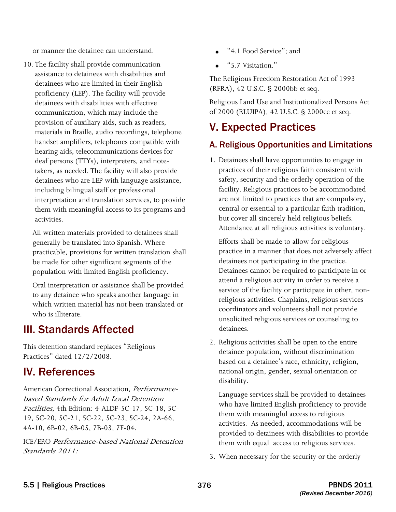or manner the detainee can understand.

10. The facility shall provide communication assistance to detainees with disabilities and detainees who are limited in their English proficiency (LEP). The facility will provide detainees with disabilities with effective communication, which may include the provision of auxiliary aids, such as readers, materials in Braille, audio recordings, telephone handset amplifiers, telephones compatible with hearing aids, telecommunications devices for deaf persons (TTYs), interpreters, and notetakers, as needed. The facility will also provide detainees who are LEP with language assistance, including bilingual staff or professional interpretation and translation services, to provide them with meaningful access to its programs and activities. or manner the detainee can understand<br>
and the stating shall provide communication<br>
and the stating shall provide and the standards and<br>
and the stating of the stating scale of the stating of the stating of<br>
detaines with

All written materials provided to detainees shall generally be translated into Spanish. Where practicable, provisions for written translation shall be made for other significant segments of the population with limited English proficiency.

Oral interpretation or assistance shall be provided to any detainee who speaks another language in which written material has not been translated or who is illiterate.

# III. Standards Affected

This detention standard replaces "Religious Practices" dated 12/2/2008.

# IV. References

American Correctional Association, Performancebased Standards for Adult Local Detention Facilities, 4th Edition: 4-ALDF-5C-17, 5C-18, 5C-19, 5C-20, 5C-21, 5C-22, 5C-23, 5C-24, 2A-66, 4A-10, 6B-02, 6B-05, 7B-03, 7F-04.

Standards 2011: ICE/ERO Performance-based National Detention

- 
- "5.7 Visitation."

The Religious Freedom Restoration Act of 1993 (RFRA), 42 U.S.C. § 2000bb et seq.

Religious Land Use and Institutionalized Persons Act of 2000 (RLUIPA), 42 U.S.C. § 2000cc et seq.

# V. Expected Practices

## A. Religious Opportunities and Limitations

1. Detainees shall have opportunities to engage in practices of their religious faith consistent with safety, security and the orderly operation of the facility. Religious practices to be accommodated are not limited to practices that are compulsory, central or essential to a particular faith tradition, but cover all sincerely held religious beliefs. Attendance at all religious activities is voluntary.

 religious activities. Chaplains, religious services Efforts shall be made to allow for religious practice in a manner that does not adversely affect detainees not participating in the practice. Detainees cannot be required to participate in or attend a religious activity in order to receive a service of the facility or participate in other, noncoordinators and volunteers shall not provide unsolicited religious services or counseling to detainees.

2. Religious activities shall be open to the entire detainee population, without discrimination based on a detainee's race, ethnicity, religion, national origin, gender, sexual orientation or disability.

Language services shall be provided to detainees who have limited English proficiency to provide them with meaningful access to religious activities. As needed, accommodations will be provided to detainees with disabilities to provide them with equal access to religious services.

3. When necessary for the security or the orderly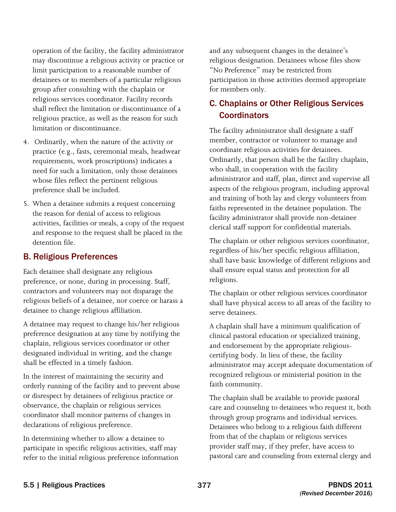operation of the facility, the facility administrator may discontinue a religious activity or practice or limit participation to a reasonable number of detainees or to members of a particular religious group after consulting with the chaplain or religious services coordinator. Facility records shall reflect the limitation or discontinuance of a religious practice, as well as the reason for such limitation or discontinuance.

- 4. Ordinarily, when the nature of the activity or practice (e.g., fasts, ceremonial meals, headwear requirements, work proscriptions) indicates a need for such a limitation, only those detainees whose files reflect the pertinent religious preference shall be included.
- 5. When a detainee submits a request concerning the reason for denial of access to religious activities, facilities or meals, a copy of the request and response to the request shall be placed in the detention file.

#### B. Religious Preferences

Each detainee shall designate any religious preference, or none, during in processing. Staff, contractors and volunteers may not disparage the religious beliefs of a detainee, nor coerce or harass a detainee to change religious affiliation.

A detainee may request to change his/her religious preference designation at any time by notifying the chaplain, religious services coordinator or other designated individual in writing, and the change shall be effected in a timely fashion.

In the interest of maintaining the security and orderly running of the facility and to prevent abuse or disrespect by detainees of religious practice or observance, the chaplain or religious services coordinator shall monitor patterns of changes in declarations of religious preference.

In determining whether to allow a detainee to participate in specific religious activities, staff may refer to the initial religious preference information and any subsequent changes in the detainee's religious designation. Detainees whose files show "No Preference" may be restricted from participation in those activities deemed appropriate for members only.

## C. Chaplains or Other Religious Services **Coordinators**

The facility administrator shall designate a staff member, contractor or volunteer to manage and coordinate religious activities for detainees. Ordinarily, that person shall be the facility chaplain, who shall, in cooperation with the facility administrator and staff, plan, direct and supervise all aspects of the religious program, including approval and training of both lay and clergy volunteers from faiths represented in the detainee population. The facility administrator shall provide non-detainee clerical staff support for confidential materials.

The chaplain or other religious services coordinator, regardless of his/her specific religious affiliation, shall have basic knowledge of different religions and shall ensure equal status and protection for all religions.

The chaplain or other religious services coordinator shall have physical access to all areas of the facility to serve detainees.

A chaplain shall have a minimum qualification of clinical pastoral education or specialized training, and endorsement by the appropriate religiouscertifying body. In lieu of these, the facility administrator may accept adequate documentation of recognized religious or ministerial position in the faith community.

 The chaplain shall be available to provide pastoral Detainees who belong to a religious faith different provider staff may, if they prefer, have access to pastoral care and counseling from external clergy and care and counseling to detainees who request it, both through group programs and individual services. from that of the chaplain or religious services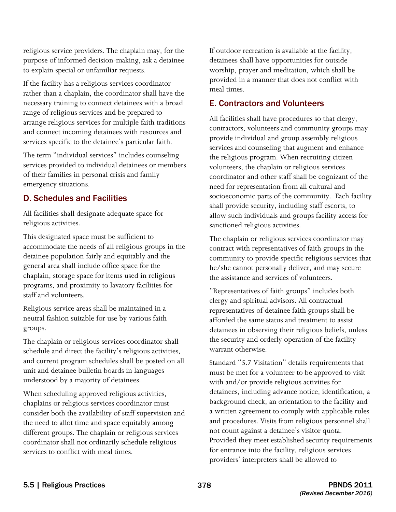religious service providers. The chaplain may, for the purpose of informed decision-making, ask a detainee to explain special or unfamiliar requests.

If the facility has a religious services coordinator rather than a chaplain, the coordinator shall have the necessary training to connect detainees with a broad range of religious services and be prepared to arrange religious services for multiple faith traditions and connect incoming detainees with resources and services specific to the detainee's particular faith.

The term "individual services" includes counseling services provided to individual detainees or members of their families in personal crisis and family emergency situations.

#### D. Schedules and Facilities

All facilities shall designate adequate space for religious activities.

 accommodate the needs of all religious groups in the This designated space must be sufficient to detainee population fairly and equitably and the general area shall include office space for the chaplain, storage space for items used in religious programs, and proximity to lavatory facilities for staff and volunteers.

Religious service areas shall be maintained in a neutral fashion suitable for use by various faith groups.

The chaplain or religious services coordinator shall schedule and direct the facility's religious activities, and current program schedules shall be posted on all unit and detainee bulletin boards in languages understood by a majority of detainees.

 the need to allot time and space equitably among When scheduling approved religious activities, chaplains or religious services coordinator must consider both the availability of staff supervision and different groups. The chaplain or religious services coordinator shall not ordinarily schedule religious services to conflict with meal times.

If outdoor recreation is available at the facility, detainees shall have opportunities for outside worship, prayer and meditation, which shall be provided in a manner that does not conflict with meal times.

#### E. Contractors and Volunteers

 volunteers, the chaplain or religious services All facilities shall have procedures so that clergy, contractors, volunteers and community groups may provide individual and group assembly religious services and counseling that augment and enhance the religious program. When recruiting citizen coordinator and other staff shall be cognizant of the need for representation from all cultural and socioeconomic parts of the community. Each facility shall provide security, including staff escorts, to allow such individuals and groups facility access for sanctioned religious activities.

The chaplain or religious services coordinator may contract with representatives of faith groups in the community to provide specific religious services that he/she cannot personally deliver, and may secure the assistance and services of volunteers.

"Representatives of faith groups" includes both clergy and spiritual advisors. All contractual representatives of detainee faith groups shall be afforded the same status and treatment to assist detainees in observing their religious beliefs, unless the security and orderly operation of the facility warrant otherwise.

not count against a detainee's visitor quota. Standard "5.7 Visitation" details requirements that must be met for a volunteer to be approved to visit with and/or provide religious activities for detainees, including advance notice, identification, a background check, an orientation to the facility and a written agreement to comply with applicable rules and procedures. Visits from religious personnel shall Provided they meet established security requirements. for entrance into the facility, religious services providers' interpreters shall be allowed to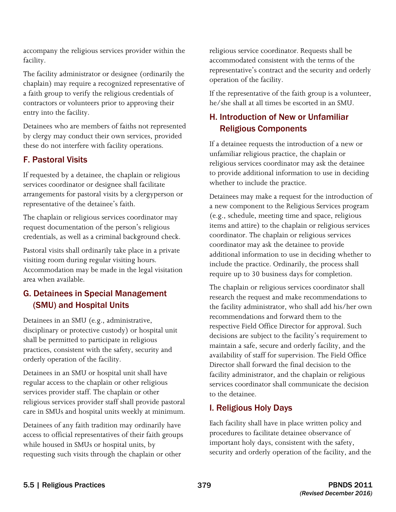accompany the religious services provider within the facility.

 chaplain) may require a recognized representative of The facility administrator or designee (ordinarily the a faith group to verify the religious credentials of contractors or volunteers prior to approving their entry into the facility.

Detainees who are members of faiths not represented by clergy may conduct their own services, provided these do not interfere with facility operations.

## F. Pastoral Visits

If requested by a detainee, the chaplain or religious services coordinator or designee shall facilitate arrangements for pastoral visits by a clergyperson or representative of the detainee's faith.

The chaplain or religious services coordinator may request documentation of the person's religious credentials, as well as a criminal background check.

Pastoral visits shall ordinarily take place in a private visiting room during regular visiting hours. Accommodation may be made in the legal visitation area when available.

# G. Detainees in Special Management (SMU) and Hospital Units

Detainees in an SMU (e.g., administrative, disciplinary or protective custody) or hospital unit shall be permitted to participate in religious practices, consistent with the safety, security and orderly operation of the facility.

Detainees in an SMU or hospital unit shall have regular access to the chaplain or other religious services provider staff. The chaplain or other religious services provider staff shall provide pastoral care in SMUs and hospital units weekly at minimum.

Detainees of any faith tradition may ordinarily have access to official representatives of their faith groups while housed in SMUs or hospital units, by requesting such visits through the chaplain or other

 religious service coordinator. Requests shall be accommodated consistent with the terms of the representative's contract and the security and orderly operation of the facility.

If the representative of the faith group is a volunteer, he/she shall at all times be escorted in an SMU.

# H. Introduction of New or Unfamiliar Religious Components

If a detainee requests the introduction of a new or unfamiliar religious practice, the chaplain or religious services coordinator may ask the detainee to provide additional information to use in deciding whether to include the practice.

 coordinator. The chaplain or religious services Detainees may make a request for the introduction of a new component to the Religious Services program (e.g., schedule, meeting time and space, religious items and attire) to the chaplain or religious services coordinator may ask the detainee to provide additional information to use in deciding whether to include the practice. Ordinarily, the process shall require up to 30 business days for completion.

The chaplain or religious services coordinator shall research the request and make recommendations to the facility administrator, who shall add his/her own recommendations and forward them to the respective Field Office Director for approval. Such decisions are subject to the facility's requirement to maintain a safe, secure and orderly facility, and the availability of staff for supervision. The Field Office Director shall forward the final decision to the facility administrator, and the chaplain or religious services coordinator shall communicate the decision to the detainee.

## I. Religious Holy Days

 Each facility shall have in place written policy and procedures to facilitate detainee observance of important holy days, consistent with the safety, security and orderly operation of the facility, and the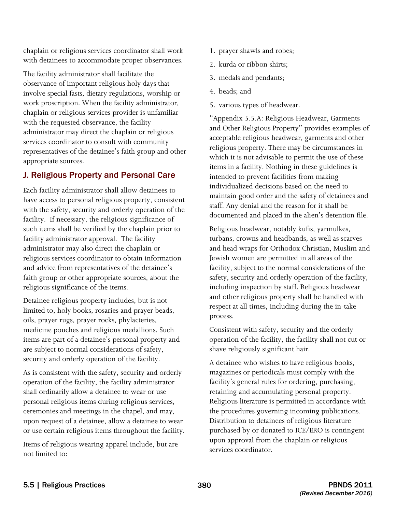chaplain or religious services coordinator shall work with detainees to accommodate proper observances.

 The facility administrator shall facilitate the observance of important religious holy days that involve special fasts, dietary regulations, worship or with the requested observance, the facility work proscription. When the facility administrator, chaplain or religious services provider is unfamiliar administrator may direct the chaplain or religious services coordinator to consult with community representatives of the detainee's faith group and other appropriate sources.

## J. Religious Property and Personal Care

religious significance of the items. Each facility administrator shall allow detainees to have access to personal religious property, consistent with the safety, security and orderly operation of the facility. If necessary, the religious significance of such items shall be verified by the chaplain prior to facility administrator approval. The facility administrator may also direct the chaplain or religious services coordinator to obtain information and advice from representatives of the detainee's faith group or other appropriate sources, about the

Detainee religious property includes, but is not limited to, holy books, rosaries and prayer beads, oils, prayer rugs, prayer rocks, phylacteries, medicine pouches and religious medallions. Such items are part of a detainee's personal property and are subject to normal considerations of safety, security and orderly operation of the facility.

As is consistent with the safety, security and orderly operation of the facility, the facility administrator shall ordinarily allow a detainee to wear or use personal religious items during religious services, ceremonies and meetings in the chapel, and may, upon request of a detainee, allow a detainee to wear or use certain religious items throughout the facility.

Items of religious wearing apparel include, but are not limited to:

- 1. prayer shawls and robes;
- 2. kurda or ribbon shirts;
- 3. medals and pendants;
- 4. beads; and
- 5. various types of headwear.

"Appendix 5.5.A: Religious Headwear, Garments and Other Religious Property" provides examples of acceptable religious headwear, garments and other religious property. There may be circumstances in which it is not advisable to permit the use of these items in a facility. Nothing in these guidelines is intended to prevent facilities from making individualized decisions based on the need to maintain good order and the safety of detainees and staff. Any denial and the reason for it shall be documented and placed in the alien's detention file.

Religious headwear, notably kufis, yarmulkes, turbans, crowns and headbands, as well as scarves and head wraps for Orthodox Christian, Muslim and Jewish women are permitted in all areas of the facility, subject to the normal considerations of the safety, security and orderly operation of the facility, including inspection by staff. Religious headwear and other religious property shall be handled with respect at all times, including during the in-take process.

Consistent with safety, security and the orderly operation of the facility, the facility shall not cut or shave religiously significant hair.

A detainee who wishes to have religious books, magazines or periodicals must comply with the facility's general rules for ordering, purchasing, retaining and accumulating personal property. Religious literature is permitted in accordance with the procedures governing incoming publications. Distribution to detainees of religious literature purchased by or donated to ICE/ERO is contingent upon approval from the chaplain or religious services coordinator.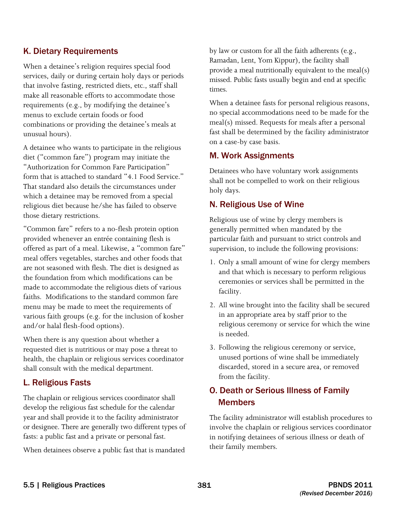#### K. Dietary Requirements

When a detainee's religion requires special food services, daily or during certain holy days or periods that involve fasting, restricted diets, etc., staff shall make all reasonable efforts to accommodate those requirements (e.g., by modifying the detainee's menus to exclude certain foods or food combinations or providing the detainee's meals at unusual hours).

A detainee who wants to participate in the religious diet ("common fare") program may initiate the "Authorization for Common Fare Participation" form that is attached to standard "4.1 Food Service." That standard also details the circumstances under which a detainee may be removed from a special religious diet because he/she has failed to observe those dietary restrictions.

"Common fare" refers to a no-flesh protein option provided whenever an entrée containing flesh is offered as part of a meal. Likewise, a "common fare" meal offers vegetables, starches and other foods that are not seasoned with flesh. The diet is designed as the foundation from which modifications can be made to accommodate the religious diets of various faiths. Modifications to the standard common fare menu may be made to meet the requirements of various faith groups (e.g. for the inclusion of kosher and/or halal flesh-food options).

When there is any question about whether a requested diet is nutritious or may pose a threat to health, the chaplain or religious services coordinator shall consult with the medical department.

#### L. Religious Fasts

 The chaplain or religious services coordinator shall develop the religious fast schedule for the calendar or designee. There are generally two different types of year and shall provide it to the facility administrator fasts: a public fast and a private or personal fast.

When detainees observe a public fast that is mandated

 provide a meal nutritionally equivalent to the meal(s) by law or custom for all the faith adherents (e.g., Ramadan, Lent, Yom Kippur), the facility shall missed. Public fasts usually begin and end at specific times.

When a detainee fasts for personal religious reasons, no special accommodations need to be made for the meal(s) missed. Requests for meals after a personal fast shall be determined by the facility administrator on a case-by case basis.

#### M. Work Assignments

Detainees who have voluntary work assignments shall not be compelled to work on their religious holy days.

#### N. Religious Use of Wine

Religious use of wine by clergy members is generally permitted when mandated by the particular faith and pursuant to strict controls and supervision, to include the following provisions:

- and that which is necessary to perform religious 1. Only a small amount of wine for clergy members ceremonies or services shall be permitted in the facility.
- 2. All wine brought into the facility shall be secured in an appropriate area by staff prior to the religious ceremony or service for which the wine is needed.
- 3. Following the religious ceremony or service, unused portions of wine shall be immediately discarded, stored in a secure area, or removed from the facility.

## O. Death or Serious Illness of Family **Members**

The facility administrator will establish procedures to involve the chaplain or religious services coordinator in notifying detainees of serious illness or death of their family members.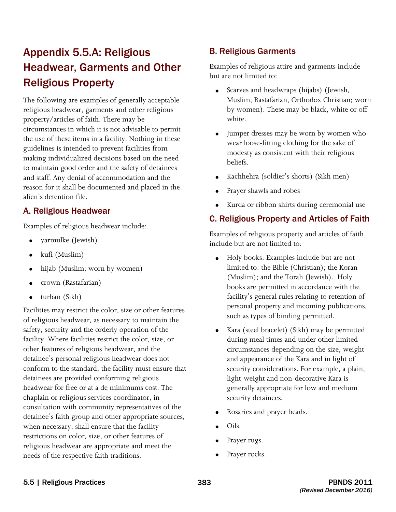# Appendix 5.5.A: Religious Headwear, Garments and Other Religious Property

The following are examples of generally acceptable religious headwear, garments and other religious property/articles of faith. There may be circumstances in which it is not advisable to permit the use of these items in a facility. Nothing in these guidelines is intended to prevent facilities from making individualized decisions based on the need to maintain good order and the safety of detainees and staff. Any denial of accommodation and the reason for it shall be documented and placed in the alien's detention file.

#### A. Religious Headwear

Examples of religious headwear include:

- • yarmulke (Jewish)
- kufi (Muslim)
- • hijab (Muslim; worn by women)
- • crown (Rastafarian)
- turban (Sikh)

 detainees are provided conforming religious Facilities may restrict the color, size or other features of religious headwear, as necessary to maintain the safety, security and the orderly operation of the facility. Where facilities restrict the color, size, or other features of religious headwear, and the detainee's personal religious headwear does not conform to the standard, the facility must ensure that headwear for free or at a de minimums cost. The chaplain or religious services coordinator, in consultation with community representatives of the detainee's faith group and other appropriate sources, when necessary, shall ensure that the facility restrictions on color, size, or other features of religious headwear are appropriate and meet the needs of the respective faith traditions.

#### B. Religious Garments

Examples of religious attire and garments include but are not limited to:

- Scarves and headwraps (hijabs) (Jewish, Muslim, Rastafarian, Orthodox Christian; worn by women). These may be black, white or offwhite.
- Jumper dresses may be worn by women who wear loose-fitting clothing for the sake of modesty as consistent with their religious beliefs.
- Kachhehra (soldier's shorts) (Sikh men)
- • Prayer shawls and robes
- Kurda or ribbon shirts during ceremonial use

## C. Religious Property and Articles of Faith

Examples of religious property and articles of faith include but are not limited to:

- such as types of binding permitted. Holy books: Examples include but are not limited to: the Bible (Christian); the Koran (Muslim); and the Torah (Jewish). Holy books are permitted in accordance with the facility's general rules relating to retention of personal property and incoming publications,
- Kara (steel bracelet) (Sikh) may be permitted during meal times and under other limited circumstances depending on the size, weight and appearance of the Kara and in light of security considerations. For example, a plain, light-weight and non-decorative Kara is generally appropriate for low and medium security detainees.
- Rosaries and prayer beads.
- Oils.
- Prayer rugs.
- Prayer rocks.